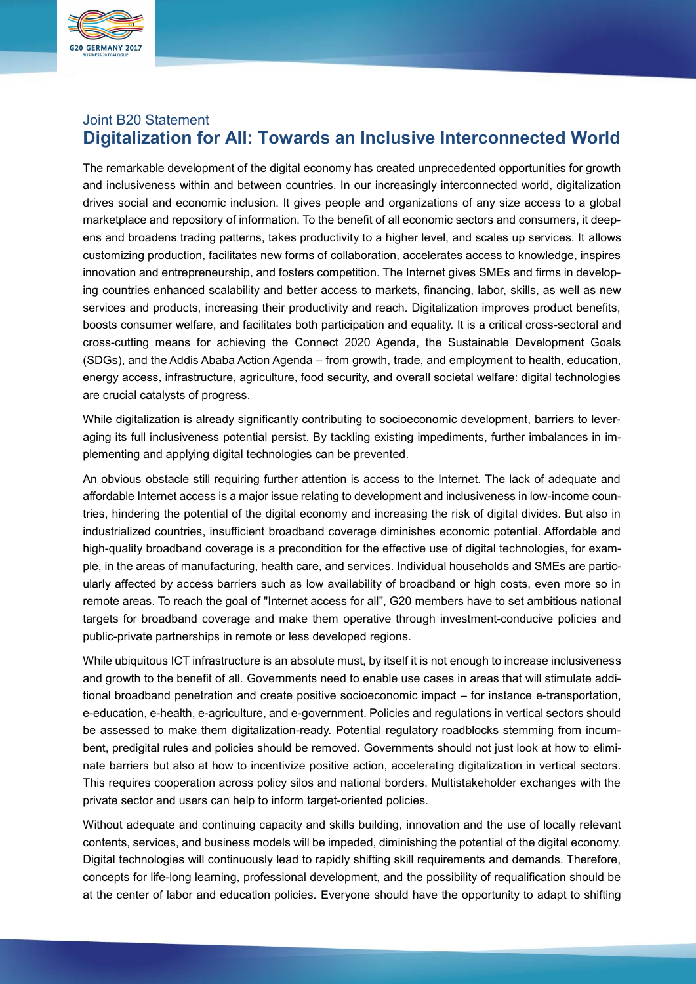

# Joint B20 Statement **Digitalization for All: Towards an Inclusive Interconnected World**

The remarkable development of the digital economy has created unprecedented opportunities for growth and inclusiveness within and between countries. In our increasingly interconnected world, digitalization drives social and economic inclusion. It gives people and organizations of any size access to a global marketplace and repository of information. To the benefit of all economic sectors and consumers, it deepens and broadens trading patterns, takes productivity to a higher level, and scales up services. It allows customizing production, facilitates new forms of collaboration, accelerates access to knowledge, inspires innovation and entrepreneurship, and fosters competition. The Internet gives SMEs and firms in developing countries enhanced scalability and better access to markets, financing, labor, skills, as well as new services and products, increasing their productivity and reach. Digitalization improves product benefits, boosts consumer welfare, and facilitates both participation and equality. It is a critical cross-sectoral and cross-cutting means for achieving the Connect 2020 Agenda, the Sustainable Development Goals (SDGs), and the Addis Ababa Action Agenda – from growth, trade, and employment to health, education, energy access, infrastructure, agriculture, food security, and overall societal welfare: digital technologies are crucial catalysts of progress.

While digitalization is already significantly contributing to socioeconomic development, barriers to leveraging its full inclusiveness potential persist. By tackling existing impediments, further imbalances in implementing and applying digital technologies can be prevented.

An obvious obstacle still requiring further attention is access to the Internet. The lack of adequate and affordable Internet access is a major issue relating to development and inclusiveness in low-income countries, hindering the potential of the digital economy and increasing the risk of digital divides. But also in industrialized countries, insufficient broadband coverage diminishes economic potential. Affordable and high-quality broadband coverage is a precondition for the effective use of digital technologies, for example, in the areas of manufacturing, health care, and services. Individual households and SMEs are particularly affected by access barriers such as low availability of broadband or high costs, even more so in remote areas. To reach the goal of "Internet access for all", G20 members have to set ambitious national targets for broadband coverage and make them operative through investment-conducive policies and public-private partnerships in remote or less developed regions.

While ubiquitous ICT infrastructure is an absolute must, by itself it is not enough to increase inclusiveness and growth to the benefit of all. Governments need to enable use cases in areas that will stimulate additional broadband penetration and create positive socioeconomic impact – for instance e-transportation, e-education, e-health, e-agriculture, and e-government. Policies and regulations in vertical sectors should be assessed to make them digitalization-ready. Potential regulatory roadblocks stemming from incumbent, predigital rules and policies should be removed. Governments should not just look at how to eliminate barriers but also at how to incentivize positive action, accelerating digitalization in vertical sectors. This requires cooperation across policy silos and national borders. Multistakeholder exchanges with the private sector and users can help to inform target-oriented policies.

Without adequate and continuing capacity and skills building, innovation and the use of locally relevant contents, services, and business models will be impeded, diminishing the potential of the digital economy. Digital technologies will continuously lead to rapidly shifting skill requirements and demands. Therefore, concepts for life-long learning, professional development, and the possibility of requalification should be at the center of labor and education policies. Everyone should have the opportunity to adapt to shifting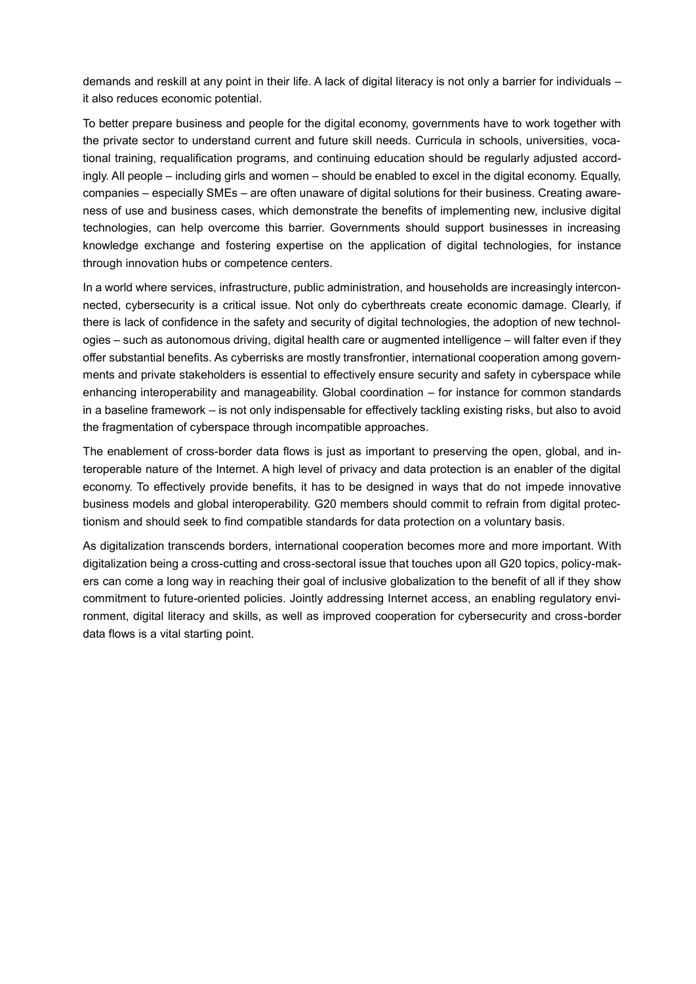demands and reskill at any point in their life. A lack of digital literacy is not only a barrier for individuals – it also reduces economic potential.

To better prepare business and people for the digital economy, governments have to work together with the private sector to understand current and future skill needs. Curricula in schools, universities, vocational training, requalification programs, and continuing education should be regularly adjusted accordingly. All people – including girls and women – should be enabled to excel in the digital economy. Equally, companies – especially SMEs – are often unaware of digital solutions for their business. Creating awareness of use and business cases, which demonstrate the benefits of implementing new, inclusive digital technologies, can help overcome this barrier. Governments should support businesses in increasing knowledge exchange and fostering expertise on the application of digital technologies, for instance through innovation hubs or competence centers.

In a world where services, infrastructure, public administration, and households are increasingly interconnected, cybersecurity is a critical issue. Not only do cyberthreats create economic damage. Clearly, if there is lack of confidence in the safety and security of digital technologies, the adoption of new technologies – such as autonomous driving, digital health care or augmented intelligence – will falter even if they offer substantial benefits. As cyberrisks are mostly transfrontier, international cooperation among governments and private stakeholders is essential to effectively ensure security and safety in cyberspace while enhancing interoperability and manageability. Global coordination – for instance for common standards in a baseline framework – is not only indispensable for effectively tackling existing risks, but also to avoid the fragmentation of cyberspace through incompatible approaches.

The enablement of cross-border data flows is just as important to preserving the open, global, and interoperable nature of the Internet. A high level of privacy and data protection is an enabler of the digital economy. To effectively provide benefits, it has to be designed in ways that do not impede innovative business models and global interoperability. G20 members should commit to refrain from digital protectionism and should seek to find compatible standards for data protection on a voluntary basis.

As digitalization transcends borders, international cooperation becomes more and more important. With digitalization being a cross-cutting and cross-sectoral issue that touches upon all G20 topics, policy-makers can come a long way in reaching their goal of inclusive globalization to the benefit of all if they show commitment to future-oriented policies. Jointly addressing Internet access, an enabling regulatory environment, digital literacy and skills, as well as improved cooperation for cybersecurity and cross-border data flows is a vital starting point.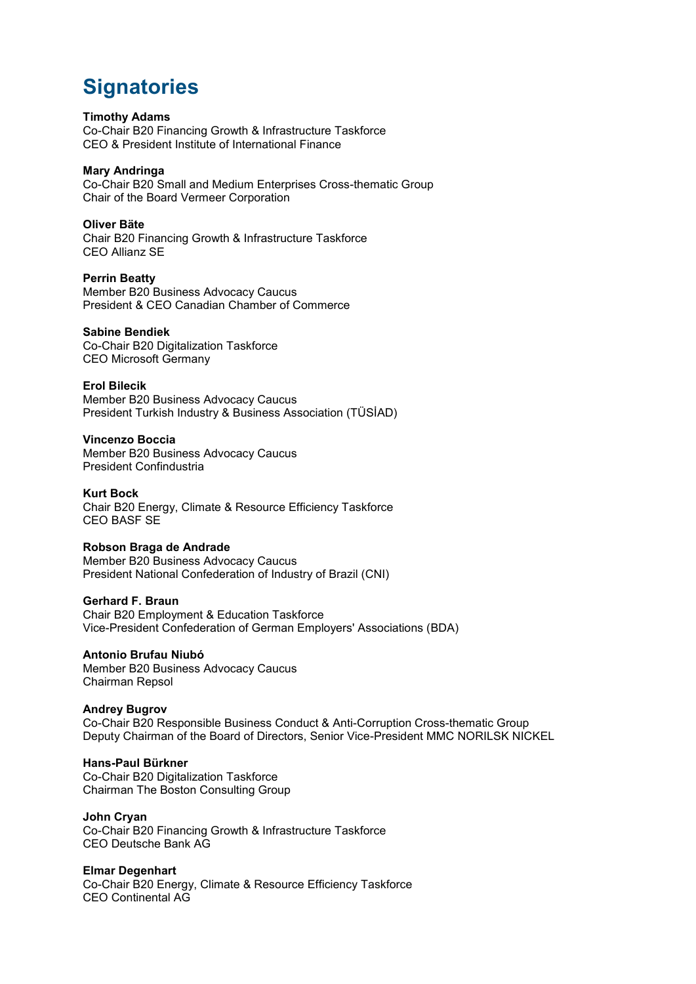# **Signatories**

# **Timothy Adams**

Co-Chair B20 Financing Growth & Infrastructure Taskforce CEO & President Institute of International Finance

# **Mary Andringa**

Co-Chair B20 Small and Medium Enterprises Cross-thematic Group Chair of the Board Vermeer Corporation

# **Oliver Bäte**

Chair B20 Financing Growth & Infrastructure Taskforce CEO Allianz SE

# **Perrin Beatty**

Member B20 Business Advocacy Caucus President & CEO Canadian Chamber of Commerce

# **Sabine Bendiek**

Co-Chair B20 Digitalization Taskforce CEO Microsoft Germany

# **Erol Bilecik**

Member B20 Business Advocacy Caucus President Turkish Industry & Business Association (TÜSİAD)

# **Vincenzo Boccia**

Member B20 Business Advocacy Caucus President Confindustria

**Kurt Bock** Chair B20 Energy, Climate & Resource Efficiency Taskforce CEO BASF SE

# **Robson Braga de Andrade**

Member B20 Business Advocacy Caucus President National Confederation of Industry of Brazil (CNI)

#### **Gerhard F. Braun**

Chair B20 Employment & Education Taskforce Vice-President Confederation of German Employers' Associations (BDA)

#### **Antonio Brufau Niubó** Member B20 Business Advocacy Caucus Chairman Repsol

# **Andrey Bugrov**

Co-Chair B20 Responsible Business Conduct & Anti-Corruption Cross-thematic Group Deputy Chairman of the Board of Directors, Senior Vice-President MMC NORILSK NICKEL

# **Hans-Paul Bürkner**

Co-Chair B20 Digitalization Taskforce Chairman The Boston Consulting Group

# **John Cryan**

Co-Chair B20 Financing Growth & Infrastructure Taskforce CEO Deutsche Bank AG

#### **Elmar Degenhart**

Co-Chair B20 Energy, Climate & Resource Efficiency Taskforce CEO Continental AG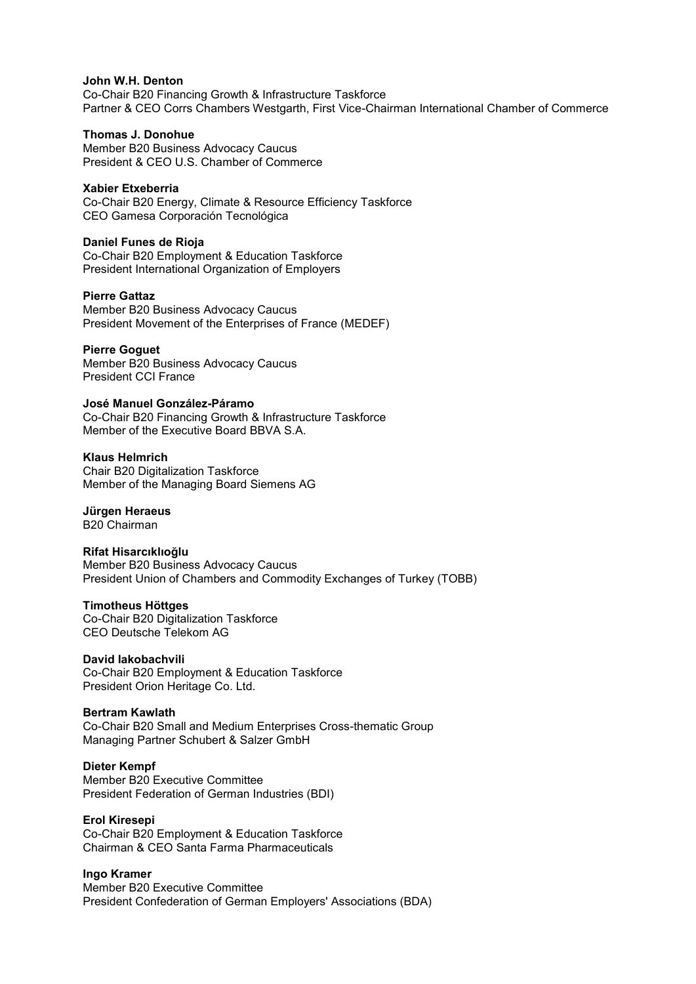#### **John W.H. Denton**

Co-Chair B20 Financing Growth & Infrastructure Taskforce Partner & CEO Corrs Chambers Westgarth, First Vice-Chairman International Chamber of Commerce

### **Thomas J. Donohue**

Member B20 Business Advocacy Caucus President & CEO U.S. Chamber of Commerce

#### **Xabier Etxeberria**

Co-Chair B20 Energy, Climate & Resource Efficiency Taskforce CEO Gamesa Corporación Tecnológica

#### **Daniel Funes de Rioja**

Co-Chair B20 Employment & Education Taskforce President International Organization of Employers

#### **Pierre Gattaz**

Member B20 Business Advocacy Caucus President Movement of the Enterprises of France (MEDEF)

#### **Pierre Goguet**

Member B20 Business Advocacy Caucus President CCI France

#### **José Manuel González-Páramo**

Co-Chair B20 Financing Growth & Infrastructure Taskforce Member of the Executive Board BBVA S.A.

### **Klaus Helmrich**

Chair B20 Digitalization Taskforce Member of the Managing Board Siemens AG

# **Jürgen Heraeus**

B20 Chairman

# **Rifat Hisarcıklıoğlu**

Member B20 Business Advocacy Caucus President Union of Chambers and Commodity Exchanges of Turkey (TOBB)

### **Timotheus Höttges**

Co-Chair B20 Digitalization Taskforce CEO Deutsche Telekom AG

#### **David Iakobachvili**

Co-Chair B20 Employment & Education Taskforce President Orion Heritage Co. Ltd.

#### **Bertram Kawlath**

Co-Chair B20 Small and Medium Enterprises Cross-thematic Group Managing Partner Schubert & Salzer GmbH

#### **Dieter Kempf**

Member B20 Executive Committee President Federation of German Industries (BDI)

# **Erol Kiresepi**

Co-Chair B20 Employment & Education Taskforce Chairman & CEO Santa Farma Pharmaceuticals

# **Ingo Kramer**

Member B20 Executive Committee President Confederation of German Employers' Associations (BDA)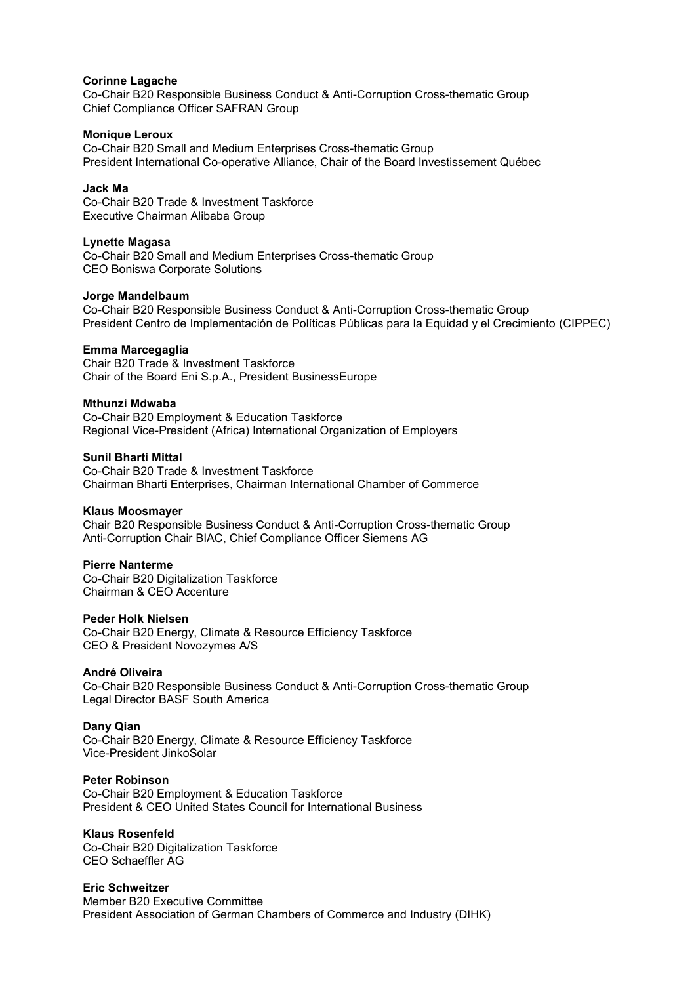#### **Corinne Lagache**

Co-Chair B20 Responsible Business Conduct & Anti-Corruption Cross-thematic Group Chief Compliance Officer SAFRAN Group

#### **Monique Leroux**

Co-Chair B20 Small and Medium Enterprises Cross-thematic Group President International Co-operative Alliance, Chair of the Board Investissement Québec

# **Jack Ma**

Co-Chair B20 Trade & Investment Taskforce Executive Chairman Alibaba Group

#### **Lynette Magasa**

Co-Chair B20 Small and Medium Enterprises Cross-thematic Group CEO Boniswa Corporate Solutions

# **Jorge Mandelbaum**

Co-Chair B20 Responsible Business Conduct & Anti-Corruption Cross-thematic Group President Centro de Implementación de Políticas Públicas para la Equidad y el Crecimiento (CIPPEC)

# **Emma Marcegaglia**

Chair B20 Trade & Investment Taskforce Chair of the Board Eni S.p.A., President BusinessEurope

#### **Mthunzi Mdwaba**

Co-Chair B20 Employment & Education Taskforce Regional Vice-President (Africa) International Organization of Employers

#### **Sunil Bharti Mittal**

Co-Chair B20 Trade & Investment Taskforce Chairman Bharti Enterprises, Chairman International Chamber of Commerce

#### **Klaus Moosmayer**

Chair B20 Responsible Business Conduct & Anti-Corruption Cross-thematic Group Anti-Corruption Chair BIAC, Chief Compliance Officer Siemens AG

# **Pierre Nanterme**

Co-Chair B20 Digitalization Taskforce Chairman & CEO Accenture

#### **Peder Holk Nielsen**

Co-Chair B20 Energy, Climate & Resource Efficiency Taskforce CEO & President Novozymes A/S

# **André Oliveira**

Co-Chair B20 Responsible Business Conduct & Anti-Corruption Cross-thematic Group Legal Director BASF South America

# **Dany Qian**

Co-Chair B20 Energy, Climate & Resource Efficiency Taskforce Vice-President JinkoSolar

#### **Peter Robinson**

Co-Chair B20 Employment & Education Taskforce President & CEO United States Council for International Business

#### **Klaus Rosenfeld**

Co-Chair B20 Digitalization Taskforce CEO Schaeffler AG

# **Eric Schweitzer**

Member B20 Executive Committee President Association of German Chambers of Commerce and Industry (DIHK)